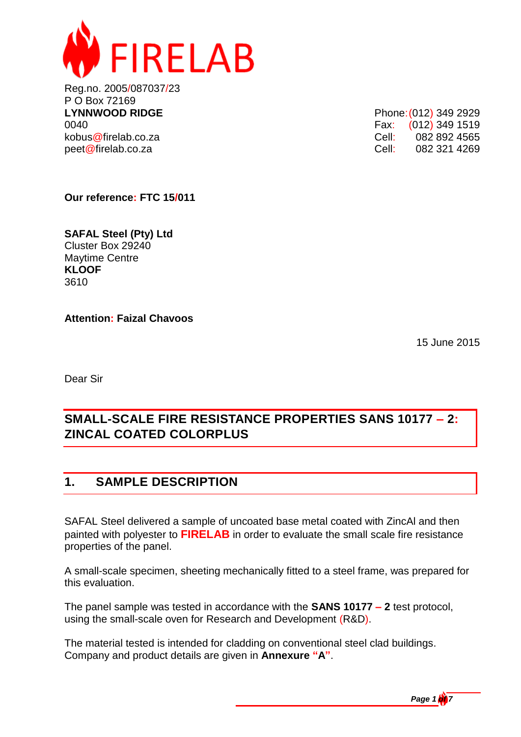

Reg.no. 2005/087037/23 P O Box 72169 **LYNNWOOD RIDGE** Phone: (012) 349 2929 0040 **Fax:** (012) 349 1519 kobus@firelab.co.za Cell: 082 892 4565 peet@firelab.co.za Cell: 082 321 4269

**Our reference: FTC 15/011**

**SAFAL Steel (Pty) Ltd** Cluster Box 29240 Maytime Centre **KLOOF** 3610

**Attention: Faizal Chavoos**

15 June 2015

Dear Sir

# **SMALL-SCALE FIRE RESISTANCE PROPERTIES SANS 10177 – 2: ZINCAL COATED COLORPLUS**

# **1. SAMPLE DESCRIPTION**

SAFAL Steel delivered a sample of uncoated base metal coated with ZincAl and then painted with polyester to **FIRELAB** in order to evaluate the small scale fire resistance properties of the panel.

A small-scale specimen, sheeting mechanically fitted to a steel frame, was prepared for this evaluation.

The panel sample was tested in accordance with the **SANS 10177 – 2** test protocol, using the small-scale oven for Research and Development (R&D).

The material tested is intended for cladding on conventional steel clad buildings. Company and product details are given in **Annexure "A"**.

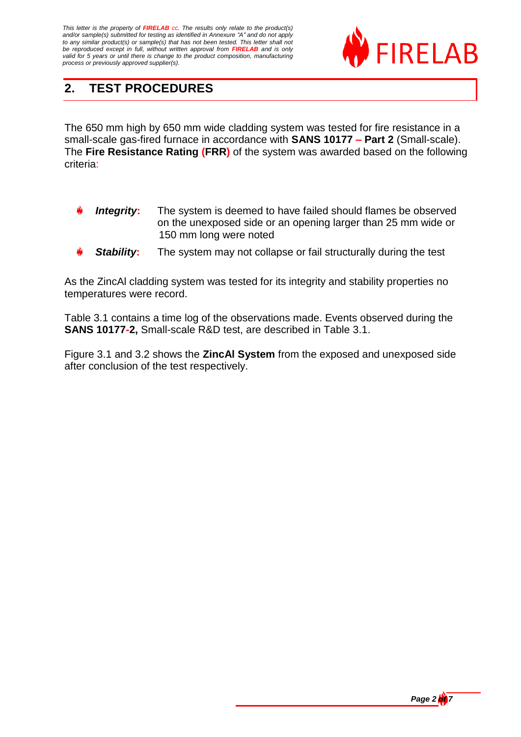

# **2. TEST PROCEDURES**

The 650 mm high by 650 mm wide cladding system was tested for fire resistance in a small-scale gas-fired furnace in accordance with **SANS 10177 – Part 2** (Small-scale). The **Fire Resistance Rating (FRR)** of the system was awarded based on the following criteria:

- *Integrity***:** The system is deemed to have failed should flames be observed on the unexposed side or an opening larger than 25 mm wide or 150 mm long were noted
- *Stability***:** The system may not collapse or fail structurally during the test

As the ZincAl cladding system was tested for its integrity and stability properties no temperatures were record.

Table 3.1 contains a time log of the observations made. Events observed during the **SANS 10177-2,** Small-scale R&D test, are described in Table 3.1.

Figure 3.1 and 3.2 shows the **ZincAl System** from the exposed and unexposed side after conclusion of the test respectively.

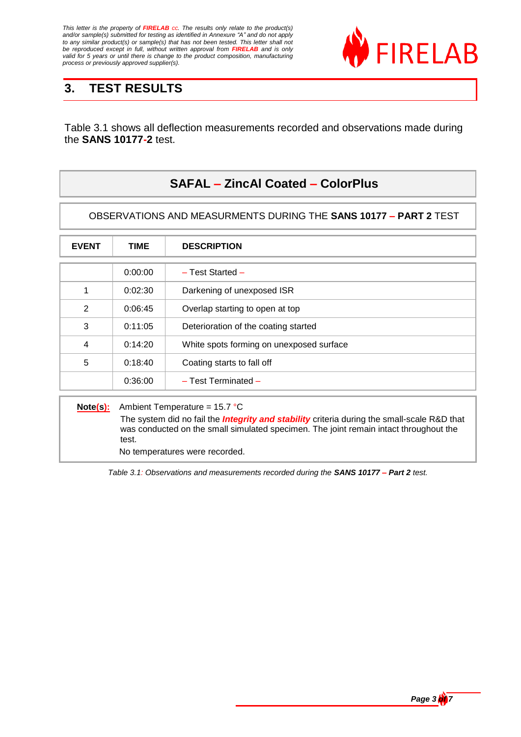

# **3. TEST RESULTS**

Table 3.1 shows all deflection measurements recorded and observations made during the **SANS 10177-2** test.

## **SAFAL – ZincAl Coated – ColorPlus**

OBSERVATIONS AND MEASURMENTS DURING THE **SANS 10177 – PART 2** TEST

| <b>EVENT</b> | TIME    | <b>DESCRIPTION</b>                       |
|--------------|---------|------------------------------------------|
|              | 0:00:00 | $-$ Test Started $-$                     |
| 1            | 0:02:30 | Darkening of unexposed ISR               |
| 2            | 0:06:45 | Overlap starting to open at top          |
| 3            | 0:11:05 | Deterioration of the coating started     |
| 4            | 0:14:20 | White spots forming on unexposed surface |
| 5            | 0:18:40 | Coating starts to fall off               |
|              | 0:36:00 | $-$ Test Terminated $-$                  |

**Note(s):** Ambient Temperature = 15.7 °C

The system did no fail the *Integrity and stability* criteria during the small-scale R&D that was conducted on the small simulated specimen. The joint remain intact throughout the test.

No temperatures were recorded.

*Table 3.1: Observations and measurements recorded during the SANS 10177 – Part 2 test.*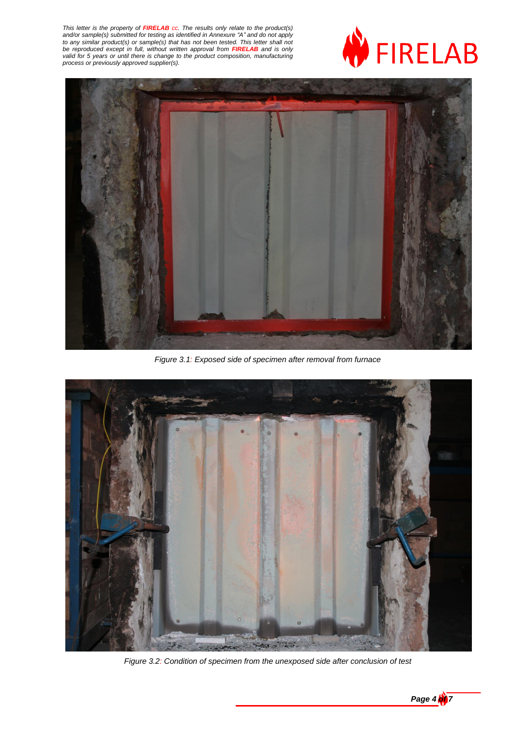



*Figure 3.1: Exposed side of specimen after removal from furnace*



*Figure 3.2: Condition of specimen from the unexposed side after conclusion of test*

*Page 4*  $\frac{1}{2}$  7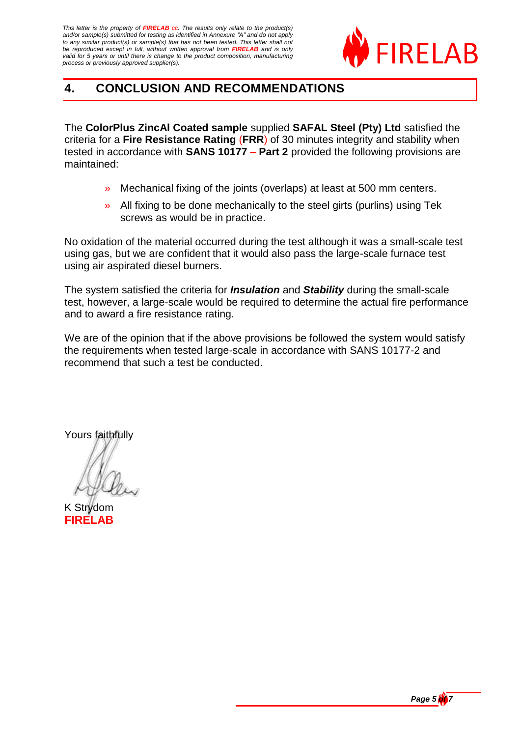

# **4. CONCLUSION AND RECOMMENDATIONS**

The **ColorPlus ZincAl Coated sample** supplied **SAFAL Steel (Pty) Ltd** satisfied the criteria for a **Fire Resistance Rating** (**FRR**) of 30 minutes integrity and stability when tested in accordance with **SANS 10177 – Part 2** provided the following provisions are maintained:

- » Mechanical fixing of the joints (overlaps) at least at 500 mm centers.
- » All fixing to be done mechanically to the steel girts (purlins) using Tek screws as would be in practice.

No oxidation of the material occurred during the test although it was a small-scale test using gas, but we are confident that it would also pass the large-scale furnace test using air aspirated diesel burners.

The system satisfied the criteria for *Insulation* and *Stability* during the small-scale test, however, a large-scale would be required to determine the actual fire performance and to award a fire resistance rating.

We are of the opinion that if the above provisions be followed the system would satisfy the requirements when tested large-scale in accordance with SANS 10177-2 and recommend that such a test be conducted.

Yours faithfully

K Strydom **FIRELAB** 

*Page 5 of 7*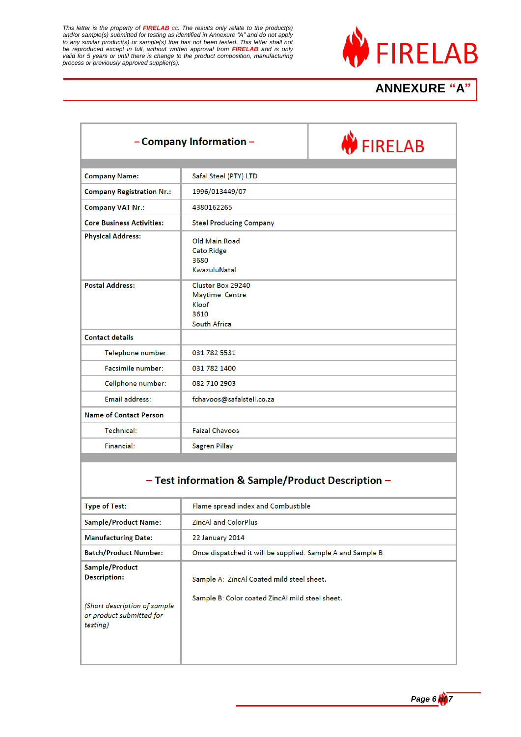

# **ANNEXURE "A"**

|                                  | - Company Information -                                              | <b>W</b> FIRELAB |
|----------------------------------|----------------------------------------------------------------------|------------------|
|                                  |                                                                      |                  |
| <b>Company Name:</b>             | Safal Steel (PTY) LTD                                                |                  |
| <b>Company Registration Nr.:</b> | 1996/013449/07                                                       |                  |
| <b>Company VAT Nr.:</b>          | 4380162265                                                           |                  |
| <b>Core Business Activities:</b> | <b>Steel Producing Company</b>                                       |                  |
| <b>Physical Address:</b>         | Old Main Road<br><b>Cato Ridge</b><br>3680<br>KwazuluNatal           |                  |
| <b>Postal Address:</b>           | Cluster Box 29240<br>Maytime Centre<br>Kloof<br>3610<br>South Africa |                  |
| <b>Contact details</b>           |                                                                      |                  |
| Telephone number:                | 031 782 5531                                                         |                  |
| Facsimile number:                | 031 782 1400                                                         |                  |
| Cellphone number:                | 082 710 2903                                                         |                  |
| Email address:                   | fchavoos@safalstell.co.za                                            |                  |
| <b>Name of Contact Person</b>    |                                                                      |                  |
| Technical:                       | <b>Faizal Chavoos</b>                                                |                  |
| Financial:                       | <b>Sagren Pillay</b>                                                 |                  |

#### - Test information & Sample/Product Description -

| <b>Type of Test:</b>                                                                                          | Flame spread index and Combustible                                                           |
|---------------------------------------------------------------------------------------------------------------|----------------------------------------------------------------------------------------------|
| <b>Sample/Product Name:</b>                                                                                   | <b>ZincAl and ColorPlus</b>                                                                  |
| <b>Manufacturing Date:</b>                                                                                    | <b>22 January 2014</b>                                                                       |
| <b>Batch/Product Number:</b>                                                                                  | Once dispatched it will be supplied: Sample A and Sample B                                   |
| Sample/Product<br><b>Description:</b><br>(Short description of sample<br>or product submitted for<br>testing) | Sample A: ZincAl Coated mild steel sheet.<br>Sample B: Color coated ZincAl mild steel sheet. |